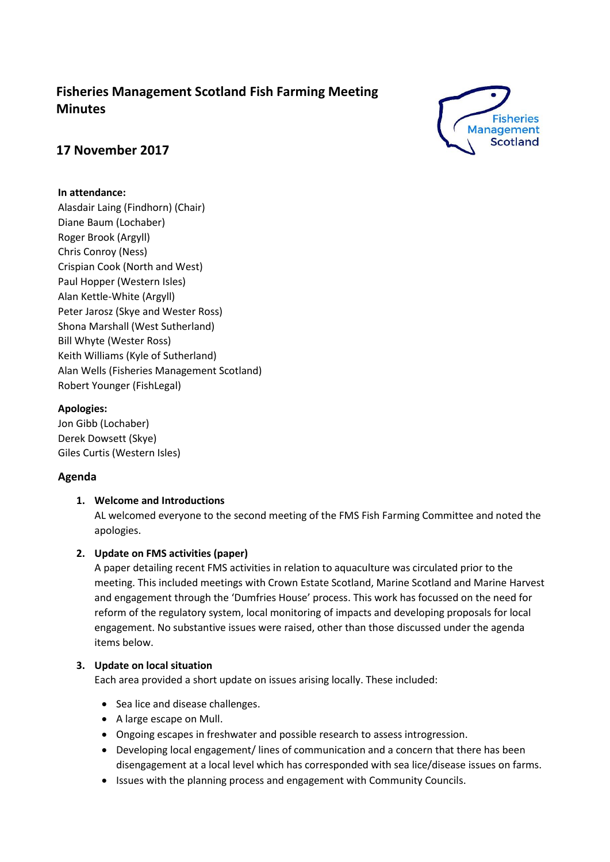# **Fisheries Management Scotland Fish Farming Meeting Minutes**



# **17 November 2017**

# **In attendance:**

Alasdair Laing (Findhorn) (Chair) Diane Baum (Lochaber) Roger Brook (Argyll) Chris Conroy (Ness) Crispian Cook (North and West) Paul Hopper (Western Isles) Alan Kettle-White (Argyll) Peter Jarosz (Skye and Wester Ross) Shona Marshall (West Sutherland) Bill Whyte (Wester Ross) Keith Williams (Kyle of Sutherland) Alan Wells (Fisheries Management Scotland) Robert Younger (FishLegal)

# **Apologies:**

Jon Gibb (Lochaber) Derek Dowsett (Skye) Giles Curtis (Western Isles)

# **Agenda**

# **1. Welcome and Introductions**

AL welcomed everyone to the second meeting of the FMS Fish Farming Committee and noted the apologies.

# **2. Update on FMS activities (paper)**

A paper detailing recent FMS activities in relation to aquaculture was circulated prior to the meeting. This included meetings with Crown Estate Scotland, Marine Scotland and Marine Harvest and engagement through the 'Dumfries House' process. This work has focussed on the need for reform of the regulatory system, local monitoring of impacts and developing proposals for local engagement. No substantive issues were raised, other than those discussed under the agenda items below.

# **3. Update on local situation**

Each area provided a short update on issues arising locally. These included:

- Sea lice and disease challenges.
- A large escape on Mull.
- Ongoing escapes in freshwater and possible research to assess introgression.
- Developing local engagement/ lines of communication and a concern that there has been disengagement at a local level which has corresponded with sea lice/disease issues on farms.
- Issues with the planning process and engagement with Community Councils.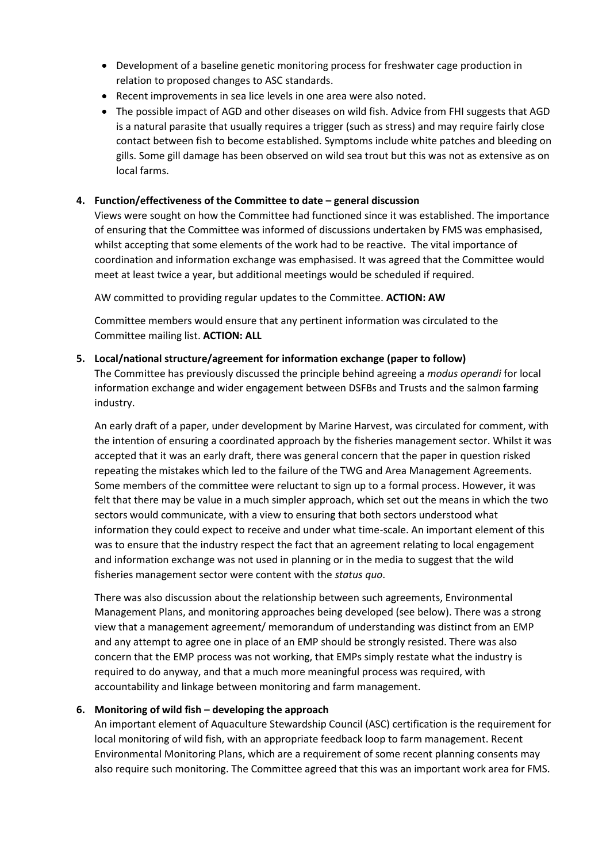- Development of a baseline genetic monitoring process for freshwater cage production in relation to proposed changes to ASC standards.
- Recent improvements in sea lice levels in one area were also noted.
- The possible impact of AGD and other diseases on wild fish. Advice from FHI suggests that AGD is a natural parasite that usually requires a trigger (such as stress) and may require fairly close contact between fish to become established. Symptoms include white patches and bleeding on gills. Some gill damage has been observed on wild sea trout but this was not as extensive as on local farms.

# **4. Function/effectiveness of the Committee to date – general discussion**

Views were sought on how the Committee had functioned since it was established. The importance of ensuring that the Committee was informed of discussions undertaken by FMS was emphasised, whilst accepting that some elements of the work had to be reactive. The vital importance of coordination and information exchange was emphasised. It was agreed that the Committee would meet at least twice a year, but additional meetings would be scheduled if required.

AW committed to providing regular updates to the Committee. **ACTION: AW**

Committee members would ensure that any pertinent information was circulated to the Committee mailing list. **ACTION: ALL**

#### **5. Local/national structure/agreement for information exchange (paper to follow)**

The Committee has previously discussed the principle behind agreeing a *modus operandi* for local information exchange and wider engagement between DSFBs and Trusts and the salmon farming industry.

An early draft of a paper, under development by Marine Harvest, was circulated for comment, with the intention of ensuring a coordinated approach by the fisheries management sector. Whilst it was accepted that it was an early draft, there was general concern that the paper in question risked repeating the mistakes which led to the failure of the TWG and Area Management Agreements. Some members of the committee were reluctant to sign up to a formal process. However, it was felt that there may be value in a much simpler approach, which set out the means in which the two sectors would communicate, with a view to ensuring that both sectors understood what information they could expect to receive and under what time-scale. An important element of this was to ensure that the industry respect the fact that an agreement relating to local engagement and information exchange was not used in planning or in the media to suggest that the wild fisheries management sector were content with the *status quo*.

There was also discussion about the relationship between such agreements, Environmental Management Plans, and monitoring approaches being developed (see below). There was a strong view that a management agreement/ memorandum of understanding was distinct from an EMP and any attempt to agree one in place of an EMP should be strongly resisted. There was also concern that the EMP process was not working, that EMPs simply restate what the industry is required to do anyway, and that a much more meaningful process was required, with accountability and linkage between monitoring and farm management.

# **6. Monitoring of wild fish – developing the approach**

An important element of Aquaculture Stewardship Council (ASC) certification is the requirement for local monitoring of wild fish, with an appropriate feedback loop to farm management. Recent Environmental Monitoring Plans, which are a requirement of some recent planning consents may also require such monitoring. The Committee agreed that this was an important work area for FMS.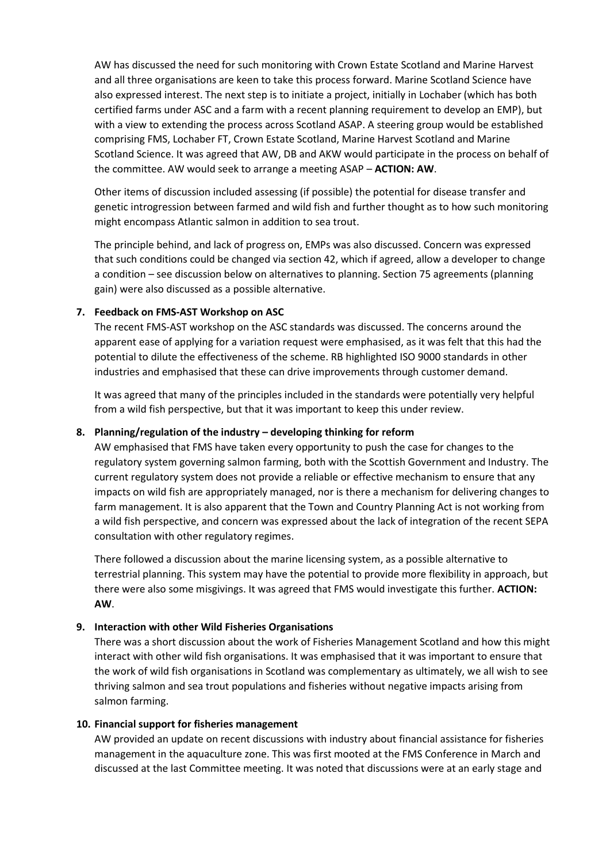AW has discussed the need for such monitoring with Crown Estate Scotland and Marine Harvest and all three organisations are keen to take this process forward. Marine Scotland Science have also expressed interest. The next step is to initiate a project, initially in Lochaber (which has both certified farms under ASC and a farm with a recent planning requirement to develop an EMP), but with a view to extending the process across Scotland ASAP. A steering group would be established comprising FMS, Lochaber FT, Crown Estate Scotland, Marine Harvest Scotland and Marine Scotland Science. It was agreed that AW, DB and AKW would participate in the process on behalf of the committee. AW would seek to arrange a meeting ASAP – **ACTION: AW**.

Other items of discussion included assessing (if possible) the potential for disease transfer and genetic introgression between farmed and wild fish and further thought as to how such monitoring might encompass Atlantic salmon in addition to sea trout.

The principle behind, and lack of progress on, EMPs was also discussed. Concern was expressed that such conditions could be changed via section 42, which if agreed, allow a developer to change a condition – see discussion below on alternatives to planning. Section 75 agreements (planning gain) were also discussed as a possible alternative.

#### **7. Feedback on FMS-AST Workshop on ASC**

The recent FMS-AST workshop on the ASC standards was discussed. The concerns around the apparent ease of applying for a variation request were emphasised, as it was felt that this had the potential to dilute the effectiveness of the scheme. RB highlighted ISO 9000 standards in other industries and emphasised that these can drive improvements through customer demand.

It was agreed that many of the principles included in the standards were potentially very helpful from a wild fish perspective, but that it was important to keep this under review.

#### **8. Planning/regulation of the industry – developing thinking for reform**

AW emphasised that FMS have taken every opportunity to push the case for changes to the regulatory system governing salmon farming, both with the Scottish Government and Industry. The current regulatory system does not provide a reliable or effective mechanism to ensure that any impacts on wild fish are appropriately managed, nor is there a mechanism for delivering changes to farm management. It is also apparent that the Town and Country Planning Act is not working from a wild fish perspective, and concern was expressed about the lack of integration of the recent SEPA consultation with other regulatory regimes.

There followed a discussion about the marine licensing system, as a possible alternative to terrestrial planning. This system may have the potential to provide more flexibility in approach, but there were also some misgivings. It was agreed that FMS would investigate this further. **ACTION: AW**.

#### **9. Interaction with other Wild Fisheries Organisations**

There was a short discussion about the work of Fisheries Management Scotland and how this might interact with other wild fish organisations. It was emphasised that it was important to ensure that the work of wild fish organisations in Scotland was complementary as ultimately, we all wish to see thriving salmon and sea trout populations and fisheries without negative impacts arising from salmon farming.

#### **10. Financial support for fisheries management**

AW provided an update on recent discussions with industry about financial assistance for fisheries management in the aquaculture zone. This was first mooted at the FMS Conference in March and discussed at the last Committee meeting. It was noted that discussions were at an early stage and